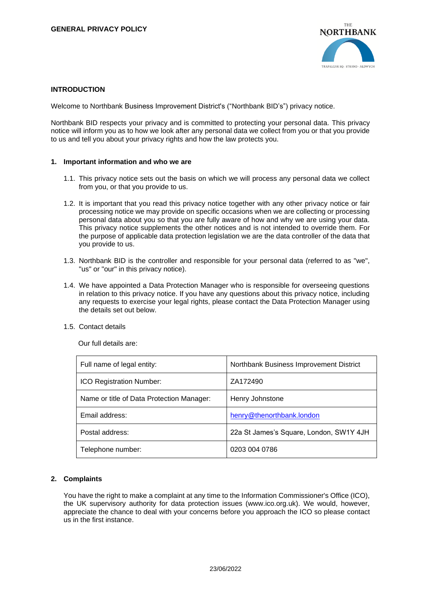

# **INTRODUCTION**

Welcome to Northbank Business Improvement District's ("Northbank BID's") privacy notice.

Northbank BID respects your privacy and is committed to protecting your personal data. This privacy notice will inform you as to how we look after any personal data we collect from you or that you provide to us and tell you about your privacy rights and how the law protects you.

#### **1. Important information and who we are**

- 1.1. This privacy notice sets out the basis on which we will process any personal data we collect from you, or that you provide to us.
- 1.2. It is important that you read this privacy notice together with any other privacy notice or fair processing notice we may provide on specific occasions when we are collecting or processing personal data about you so that you are fully aware of how and why we are using your data. This privacy notice supplements the other notices and is not intended to override them. For the purpose of applicable data protection legislation we are the data controller of the data that you provide to us.
- 1.3. Northbank BID is the controller and responsible for your personal data (referred to as "we", "us" or "our" in this privacy notice).
- 1.4. We have appointed a Data Protection Manager who is responsible for overseeing questions in relation to this privacy notice. If you have any questions about this privacy notice, including any requests to exercise your legal rights, please contact the Data Protection Manager using the details set out below.
- 1.5. Contact details

Our full details are:

| Full name of legal entity:                | Northbank Business Improvement District |
|-------------------------------------------|-----------------------------------------|
| <b>ICO Registration Number:</b>           | ZA172490                                |
| Name or title of Data Protection Manager: | Henry Johnstone                         |
| Email address:                            | henry@thenorthbank.london               |
| Postal address:                           | 22a St James's Square, London, SW1Y 4JH |
| Telephone number:                         | 0203 004 0786                           |

#### **2. Complaints**

You have the right to make a complaint at any time to the Information Commissioner's Office (ICO), the UK supervisory authority for data protection issues (www.ico.org.uk). We would, however, appreciate the chance to deal with your concerns before you approach the ICO so please contact us in the first instance.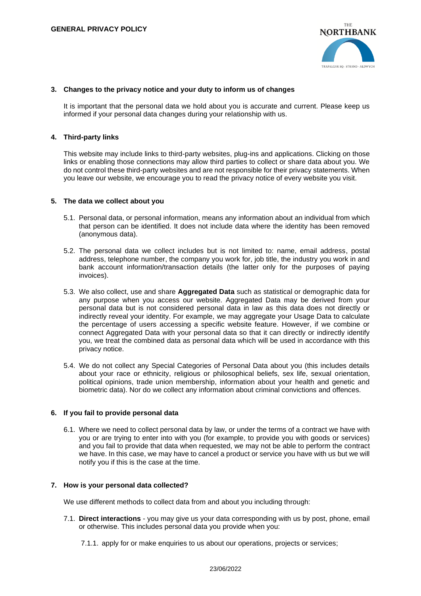

#### **3. Changes to the privacy notice and your duty to inform us of changes**

It is important that the personal data we hold about you is accurate and current. Please keep us informed if your personal data changes during your relationship with us.

### **4. Third-party links**

This website may include links to third-party websites, plug-ins and applications. Clicking on those links or enabling those connections may allow third parties to collect or share data about you. We do not control these third-party websites and are not responsible for their privacy statements. When you leave our website, we encourage you to read the privacy notice of every website you visit.

#### **5. The data we collect about you**

- 5.1. Personal data, or personal information, means any information about an individual from which that person can be identified. It does not include data where the identity has been removed (anonymous data).
- 5.2. The personal data we collect includes but is not limited to: name, email address, postal address, telephone number, the company you work for, job title, the industry you work in and bank account information/transaction details (the latter only for the purposes of paying invoices).
- 5.3. We also collect, use and share **Aggregated Data** such as statistical or demographic data for any purpose when you access our website. Aggregated Data may be derived from your personal data but is not considered personal data in law as this data does not directly or indirectly reveal your identity. For example, we may aggregate your Usage Data to calculate the percentage of users accessing a specific website feature. However, if we combine or connect Aggregated Data with your personal data so that it can directly or indirectly identify you, we treat the combined data as personal data which will be used in accordance with this privacy notice.
- 5.4. We do not collect any Special Categories of Personal Data about you (this includes details about your race or ethnicity, religious or philosophical beliefs, sex life, sexual orientation, political opinions, trade union membership, information about your health and genetic and biometric data). Nor do we collect any information about criminal convictions and offences.

#### **6. If you fail to provide personal data**

6.1. Where we need to collect personal data by law, or under the terms of a contract we have with you or are trying to enter into with you (for example, to provide you with goods or services) and you fail to provide that data when requested, we may not be able to perform the contract we have. In this case, we may have to cancel a product or service you have with us but we will notify you if this is the case at the time.

#### **7. How is your personal data collected?**

We use different methods to collect data from and about you including through:

- 7.1. **Direct interactions** you may give us your data corresponding with us by post, phone, email or otherwise. This includes personal data you provide when you:
	- 7.1.1. apply for or make enquiries to us about our operations, projects or services;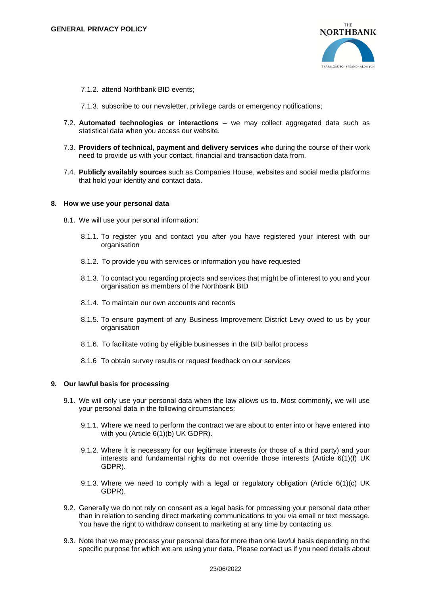

7.1.2. attend Northbank BID events;

7.1.3. subscribe to our newsletter, privilege cards or emergency notifications;

- 7.2. **Automated technologies or interactions** we may collect aggregated data such as statistical data when you access our website.
- 7.3. **Providers of technical, payment and delivery services** who during the course of their work need to provide us with your contact, financial and transaction data from.
- 7.4. **Publicly availably sources** such as Companies House, websites and social media platforms that hold your identity and contact data.

#### **8. How we use your personal data**

- 8.1. We will use your personal information:
	- 8.1.1. To register you and contact you after you have registered your interest with our organisation
	- 8.1.2. To provide you with services or information you have requested
	- 8.1.3. To contact you regarding projects and services that might be of interest to you and your organisation as members of the Northbank BID
	- 8.1.4. To maintain our own accounts and records
	- 8.1.5. To ensure payment of any Business Improvement District Levy owed to us by your organisation
	- 8.1.6. To facilitate voting by eligible businesses in the BID ballot process
	- 8.1.6 To obtain survey results or request feedback on our services

### **9. Our lawful basis for processing**

- 9.1. We will only use your personal data when the law allows us to. Most commonly, we will use your personal data in the following circumstances:
	- 9.1.1. Where we need to perform the contract we are about to enter into or have entered into with you (Article 6(1)(b) UK GDPR).
	- 9.1.2. Where it is necessary for our legitimate interests (or those of a third party) and your interests and fundamental rights do not override those interests (Article 6(1)(f) UK GDPR).
	- 9.1.3. Where we need to comply with a legal or regulatory obligation (Article 6(1)(c) UK GDPR).
- 9.2. Generally we do not rely on consent as a legal basis for processing your personal data other than in relation to sending direct marketing communications to you via email or text message. You have the right to withdraw consent to marketing at any time by contacting us.
- 9.3. Note that we may process your personal data for more than one lawful basis depending on the specific purpose for which we are using your data. Please contact us if you need details about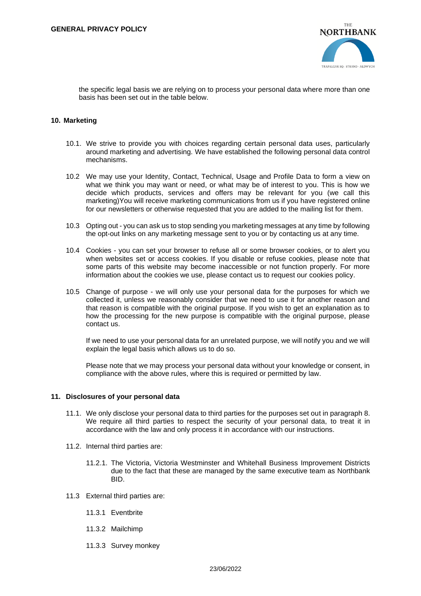

the specific legal basis we are relying on to process your personal data where more than one basis has been set out in the table below.

#### **10. Marketing**

- 10.1. We strive to provide you with choices regarding certain personal data uses, particularly around marketing and advertising. We have established the following personal data control mechanisms.
- 10.2 We may use your Identity, Contact, Technical, Usage and Profile Data to form a view on what we think you may want or need, or what may be of interest to you. This is how we decide which products, services and offers may be relevant for you (we call this marketing)You will receive marketing communications from us if you have registered online for our newsletters or otherwise requested that you are added to the mailing list for them.
- 10.3 Opting out you can ask us to stop sending you marketing messages at any time by following the opt-out links on any marketing message sent to you or by contacting us at any time.
- 10.4 Cookies you can set your browser to refuse all or some browser cookies, or to alert you when websites set or access cookies. If you disable or refuse cookies, please note that some parts of this website may become inaccessible or not function properly. For more information about the cookies we use, please contact us to request our cookies policy.
- 10.5 Change of purpose we will only use your personal data for the purposes for which we collected it, unless we reasonably consider that we need to use it for another reason and that reason is compatible with the original purpose. If you wish to get an explanation as to how the processing for the new purpose is compatible with the original purpose, please contact us.

If we need to use your personal data for an unrelated purpose, we will notify you and we will explain the legal basis which allows us to do so.

Please note that we may process your personal data without your knowledge or consent, in compliance with the above rules, where this is required or permitted by law.

#### **11. Disclosures of your personal data**

- 11.1. We only disclose your personal data to third parties for the purposes set out in paragraph 8. We require all third parties to respect the security of your personal data, to treat it in accordance with the law and only process it in accordance with our instructions.
- 11.2. Internal third parties are:
	- 11.2.1. The Victoria, Victoria Westminster and Whitehall Business Improvement Districts due to the fact that these are managed by the same executive team as Northbank BID.
- 11.3 External third parties are:
	- 11.3.1 Eventbrite
	- 11.3.2 Mailchimp
	- 11.3.3 Survey monkey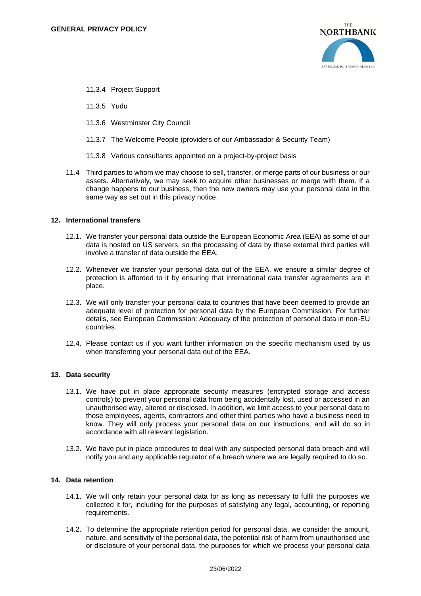

- 11.3.4 Project Support
- 11.3.5 Yudu
- 11.3.6 Westminster City Council
- 11.3.7 The Welcome People (providers of our Ambassador & Security Team)
- 11.3.8 Various consultants appointed on a project-by-project basis
- 11.4 Third parties to whom we may choose to sell, transfer, or merge parts of our business or our assets. Alternatively, we may seek to acquire other businesses or merge with them. If a change happens to our business, then the new owners may use your personal data in the same way as set out in this privacy notice.

# **12. International transfers**

- 12.1. We transfer your personal data outside the European Economic Area (EEA) as some of our data is hosted on US servers, so the processing of data by these external third parties will involve a transfer of data outside the EEA.
- 12.2. Whenever we transfer your personal data out of the EEA, we ensure a similar degree of protection is afforded to it by ensuring that international data transfer agreements are in place.
- 12.3. We will only transfer your personal data to countries that have been deemed to provide an adequate level of protection for personal data by the European Commission. For further details, see European Commission: Adequacy of the protection of personal data in non-EU countries.
- 12.4. Please contact us if you want further information on the specific mechanism used by us when transferring your personal data out of the EEA.

#### **13. Data security**

- 13.1. We have put in place appropriate security measures (encrypted storage and access controls) to prevent your personal data from being accidentally lost, used or accessed in an unauthorised way, altered or disclosed. In addition, we limit access to your personal data to those employees, agents, contractors and other third parties who have a business need to know. They will only process your personal data on our instructions, and will do so in accordance with all relevant legislation.
- 13.2. We have put in place procedures to deal with any suspected personal data breach and will notify you and any applicable regulator of a breach where we are legally required to do so.

# **14. Data retention**

- 14.1. We will only retain your personal data for as long as necessary to fulfil the purposes we collected it for, including for the purposes of satisfying any legal, accounting, or reporting requirements.
- 14.2. To determine the appropriate retention period for personal data, we consider the amount, nature, and sensitivity of the personal data, the potential risk of harm from unauthorised use or disclosure of your personal data, the purposes for which we process your personal data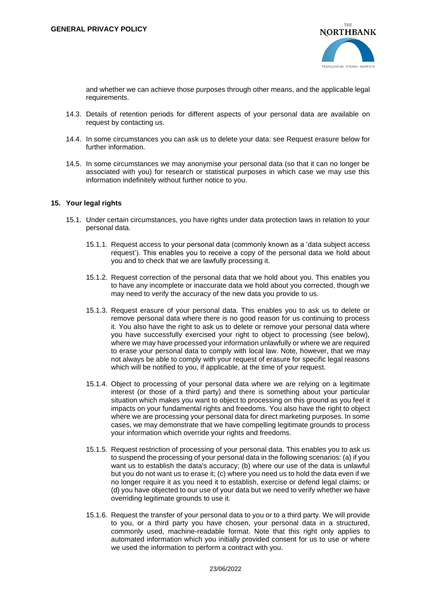

and whether we can achieve those purposes through other means, and the applicable legal requirements.

- 14.3. Details of retention periods for different aspects of your personal data are available on request by contacting us.
- 14.4. In some circumstances you can ask us to delete your data: see Request erasure below for further information.
- 14.5. In some circumstances we may anonymise your personal data (so that it can no longer be associated with you) for research or statistical purposes in which case we may use this information indefinitely without further notice to you.

#### **15. Your legal rights**

- 15.1. Under certain circumstances, you have rights under data protection laws in relation to your personal data.
	- 15.1.1. Request access to your personal data (commonly known as a 'data subject access request'). This enables you to receive a copy of the personal data we hold about you and to check that we are lawfully processing it.
	- 15.1.2. Request correction of the personal data that we hold about you. This enables you to have any incomplete or inaccurate data we hold about you corrected, though we may need to verify the accuracy of the new data you provide to us.
	- 15.1.3. Request erasure of your personal data. This enables you to ask us to delete or remove personal data where there is no good reason for us continuing to process it. You also have the right to ask us to delete or remove your personal data where you have successfully exercised your right to object to processing (see below), where we may have processed your information unlawfully or where we are required to erase your personal data to comply with local law. Note, however, that we may not always be able to comply with your request of erasure for specific legal reasons which will be notified to you, if applicable, at the time of your request.
	- 15.1.4. Object to processing of your personal data where we are relying on a legitimate interest (or those of a third party) and there is something about your particular situation which makes you want to object to processing on this ground as you feel it impacts on your fundamental rights and freedoms. You also have the right to object where we are processing your personal data for direct marketing purposes. In some cases, we may demonstrate that we have compelling legitimate grounds to process your information which override your rights and freedoms.
	- 15.1.5. Request restriction of processing of your personal data. This enables you to ask us to suspend the processing of your personal data in the following scenarios: (a) if you want us to establish the data's accuracy; (b) where our use of the data is unlawful but you do not want us to erase it; (c) where you need us to hold the data even if we no longer require it as you need it to establish, exercise or defend legal claims; or (d) you have objected to our use of your data but we need to verify whether we have overriding legitimate grounds to use it.
	- 15.1.6. Request the transfer of your personal data to you or to a third party. We will provide to you, or a third party you have chosen, your personal data in a structured, commonly used, machine-readable format. Note that this right only applies to automated information which you initially provided consent for us to use or where we used the information to perform a contract with you.